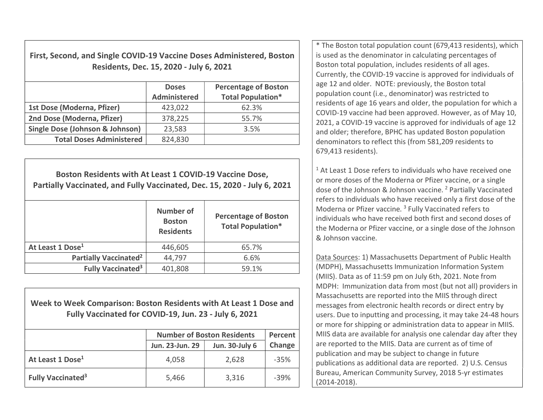First, Second, and Single COVID-19 Vaccine Doses Administered, Boston Residents, Dec. 15, 2020 - July 6, 2021

|                                            | <b>Doses</b><br><b>Administered</b> | <b>Percentage of Boston</b><br><b>Total Population*</b> |
|--------------------------------------------|-------------------------------------|---------------------------------------------------------|
| 1st Dose (Moderna, Pfizer)                 | 423,022                             | 62.3%                                                   |
| 2nd Dose (Moderna, Pfizer)                 | 378,225                             | 55.7%                                                   |
| <b>Single Dose (Johnson &amp; Johnson)</b> | 23,583                              | 3.5%                                                    |
| <b>Total Doses Administered</b>            | 824,830                             |                                                         |

Boston Residents with At Least 1 COVID-19 Vaccine Dose, Partially Vaccinated, and Fully Vaccinated, Dec. 15, 2020 - July 6, 2021 Number of Boston **Residents** Percentage of Boston Total Population\* At Least 1 Dose<sup>1</sup> 1446.605 **65.7%** Partially Vaccinated<sup>2</sup>  $44,797$  6.6% Fully Vaccinated<sup>3</sup>  $401,808$   $59.1\%$ 

## Week to Week Comparison: Boston Residents with At Least 1 Dose and Fully Vaccinated for COVID-19, Jun. 23 - July 6, 2021

|                                     | <b>Number of Boston Residents</b> | Percent               |        |  |
|-------------------------------------|-----------------------------------|-----------------------|--------|--|
|                                     | Jun. 23-Jun. 29                   | <b>Jun. 30-July 6</b> | Change |  |
| At Least 1 Dose <sup>1</sup>        | 4,058<br>2,628                    |                       |        |  |
| <b>Fully Vaccinated<sup>3</sup></b> | 5,466                             | 3,316                 | $-39%$ |  |

\* The Boston total population count (679,413 residents), which is used as the denominator in calculating percentages of Boston total population, includes residents of all ages. Currently, the COVID-19 vaccine is approved for individuals of age 12 and older. NOTE: previously, the Boston total population count (i.e., denominator) was restricted to residents of age 16 years and older, the population for which a COVID-19 vaccine had been approved. However, as of May 10, 2021, a COVID-19 vaccine is approved for individuals of age 12 and older; therefore, BPHC has updated Boston population denominators to reflect this (from 581,209 residents to 679,413 residents).

 $1$  At Least 1 Dose refers to individuals who have received one or more doses of the Moderna or Pfizer vaccine, or a single dose of the Johnson & Johnson vaccine. <sup>2</sup> Partially Vaccinated refers to individuals who have received only a first dose of the Moderna or Pfizer vaccine.<sup>3</sup> Fully Vaccinated refers to individuals who have received both first and second doses of the Moderna or Pfizer vaccine, or a single dose of the Johnson & Johnson vaccine.

Data Sources: 1) Massachusetts Department of Public Health (MDPH), Massachusetts Immunization Information System (MIIS). Data as of 11:59 pm on July 6th, 2021. Note from MDPH: Immunization data from most (but not all) providers in Massachusetts are reported into the MIIS through direct messages from electronic health records or direct entry by users. Due to inputting and processing, it may take 24-48 hours or more for shipping or administration data to appear in MIIS. MIIS data are available for analysis one calendar day after they are reported to the MIIS. Data are current as of time of publication and may be subject to change in future publications as additional data are reported. 2) U.S. Census Bureau, American Community Survey, 2018 5-yr estimates (2014-2018).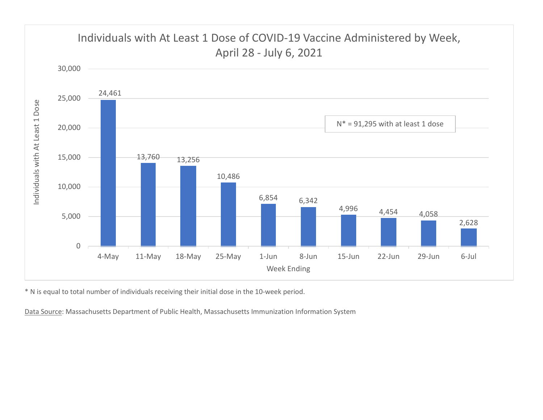

\* N is equal to total number of individuals receiving their initial dose in the 10-week period.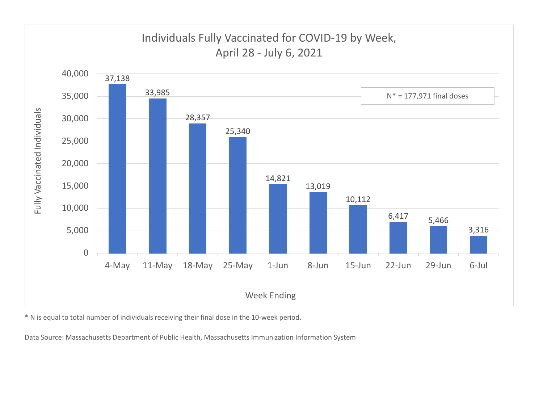

\* N is equal to total number of individuals receiving their final dose in the 10-week period.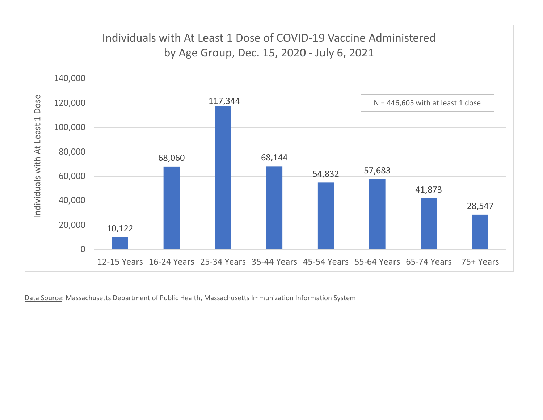

Data Source: Massachusetts Department of Public Health, Massachusetts Immunization Information System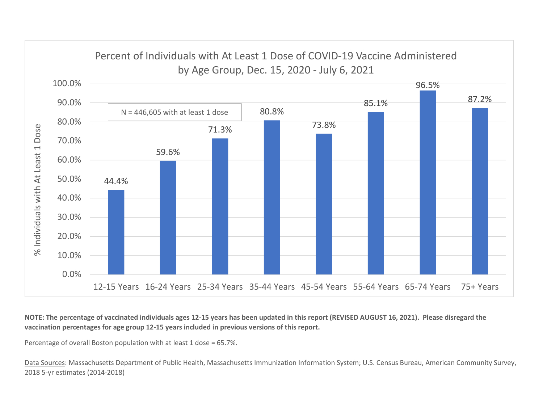

NOTE: The percentage of vaccinated individuals ages 12-15 years has been updated in this report (REVISED AUGUST 16, 2021). Please disregard the vaccination percentages for age group 12-15 years included in previous versions of this report.

Percentage of overall Boston population with at least 1 dose = 65.7%.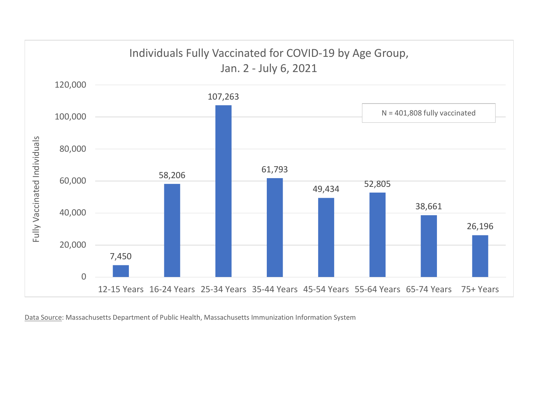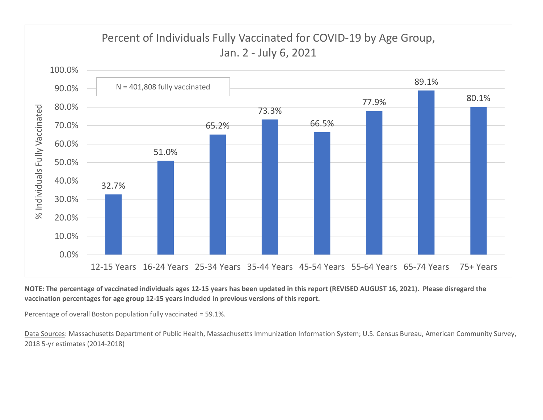

NOTE: The percentage of vaccinated individuals ages 12-15 years has been updated in this report (REVISED AUGUST 16, 2021). Please disregard the vaccination percentages for age group 12-15 years included in previous versions of this report.

Percentage of overall Boston population fully vaccinated = 59.1%.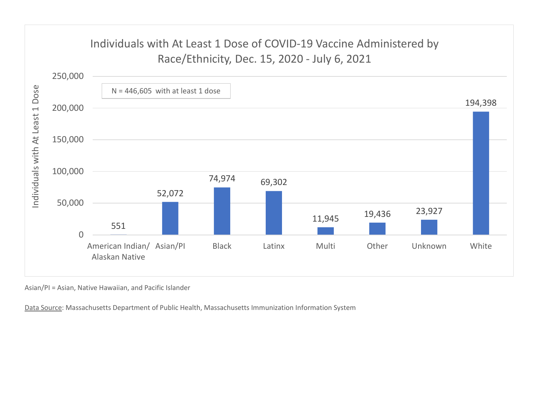

Asian/PI = Asian, Native Hawaiian, and Pacific Islander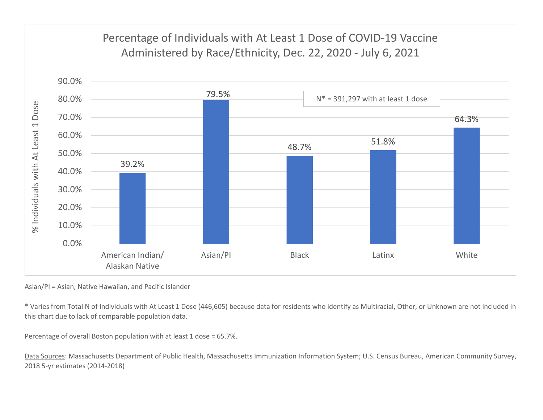

Asian/PI = Asian, Native Hawaiian, and Pacific Islander

\* Varies from Total N of Individuals with At Least 1 Dose (446,605) because data for residents who identify as Multiracial, Other, or Unknown are not included in this chart due to lack of comparable population data.

Percentage of overall Boston population with at least 1 dose = 65.7%.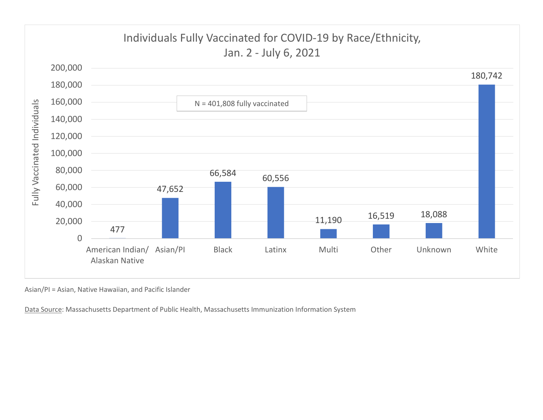

Asian/PI = Asian, Native Hawaiian, and Pacific Islander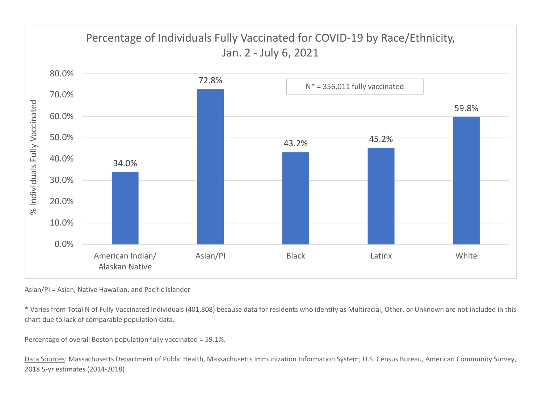

Asian/PI = Asian, Native Hawaiian, and Pacific Islander

\* Varies from Total N of Fully Vaccinated Individuals (401,808) because data for residents who identify as Multiracial, Other, or Unknown are not included in this chart due to lack of comparable population data.

Percentage of overall Boston population fully vaccinated = 59.1%.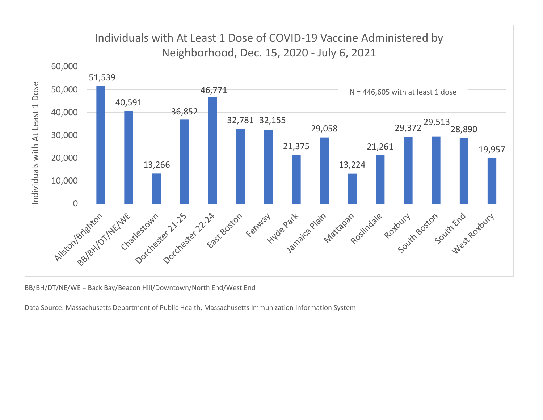

BB/BH/DT/NE/WE = Back Bay/Beacon Hill/Downtown/North End/West End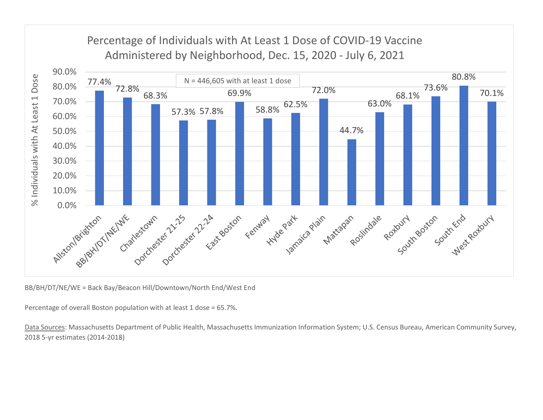

BB/BH/DT/NE/WE = Back Bay/Beacon Hill/Downtown/North End/West End

Percentage of overall Boston population with at least 1 dose = 65.7%.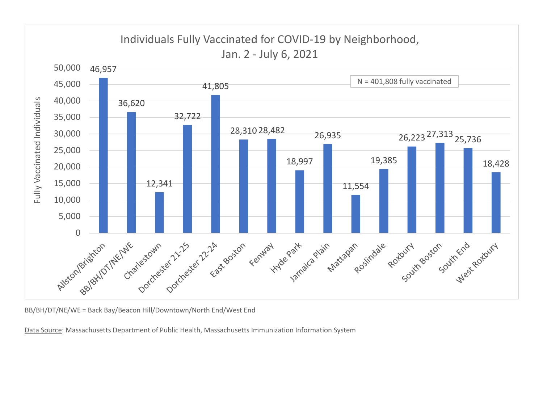

BB/BH/DT/NE/WE = Back Bay/Beacon Hill/Downtown/North End/West End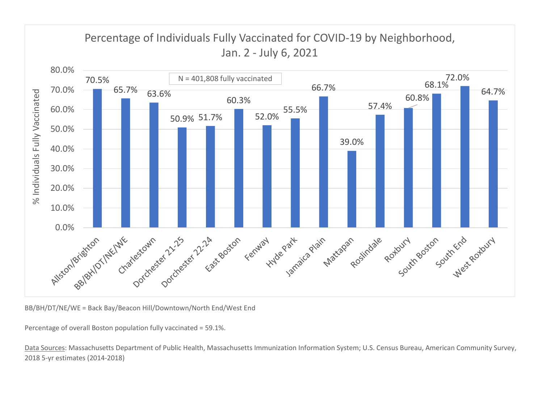

BB/BH/DT/NE/WE = Back Bay/Beacon Hill/Downtown/North End/West End

Percentage of overall Boston population fully vaccinated = 59.1%.